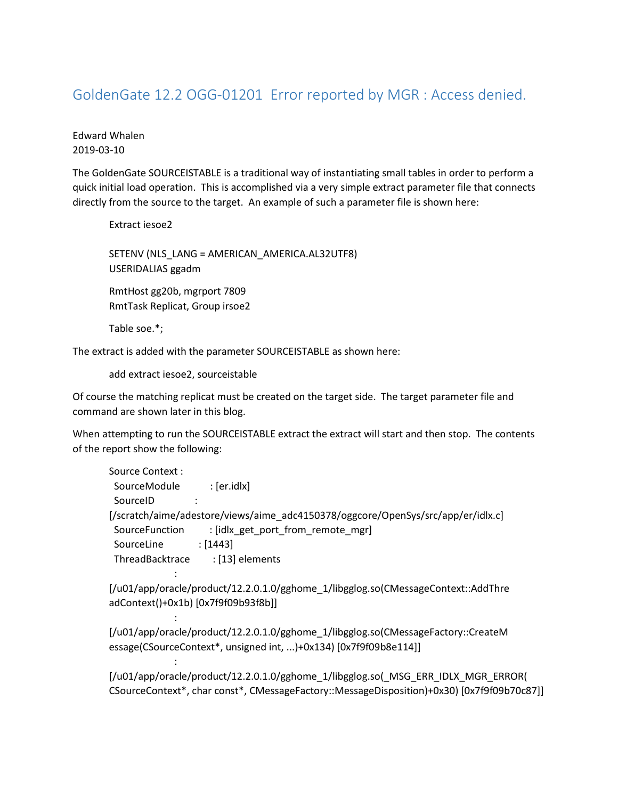## GoldenGate 12.2 OGG-01201 Error reported by MGR : Access denied.

## Edward Whalen 2019-03-10

The GoldenGate SOURCEISTABLE is a traditional way of instantiating small tables in order to perform a quick initial load operation. This is accomplished via a very simple extract parameter file that connects directly from the source to the target. An example of such a parameter file is shown here:

Extract iesoe2

SETENV (NLS\_LANG = AMERICAN\_AMERICA.AL32UTF8) USERIDALIAS ggadm

RmtHost gg20b, mgrport 7809 RmtTask Replicat, Group irsoe2

Table soe.\*;

: 100 minutes of 2

: 100 minutes of 2

: 100 minutes of 2

The extract is added with the parameter SOURCEISTABLE as shown here:

add extract iesoe2, sourceistable

Of course the matching replicat must be created on the target side. The target parameter file and command are shown later in this blog.

When attempting to run the SOURCEISTABLE extract the extract will start and then stop. The contents of the report show the following:

| : [er.idlx]                                                                      |
|----------------------------------------------------------------------------------|
|                                                                                  |
| [/scratch/aime/adestore/views/aime_adc4150378/oggcore/OpenSys/src/app/er/idlx.c] |
| : [idlx get port from remote mgr]                                                |
| : [1443]                                                                         |
| : [13] elements<br>ThreadBacktrace                                               |
|                                                                                  |

[/u01/app/oracle/product/12.2.0.1.0/gghome\_1/libgglog.so(CMessageContext::AddThre adContext()+0x1b) [0x7f9f09b93f8b]]

[/u01/app/oracle/product/12.2.0.1.0/gghome\_1/libgglog.so(CMessageFactory::CreateM essage(CSourceContext\*, unsigned int, ...)+0x134) [0x7f9f09b8e114]]

[/u01/app/oracle/product/12.2.0.1.0/gghome\_1/libgglog.so(\_MSG\_ERR\_IDLX\_MGR\_ERROR( CSourceContext\*, char const\*, CMessageFactory::MessageDisposition)+0x30) [0x7f9f09b70c87]]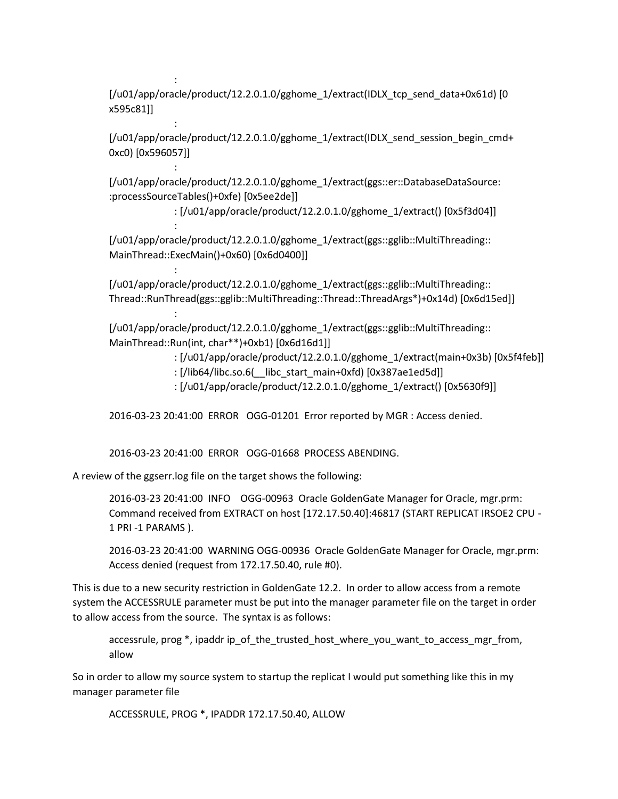[/u01/app/oracle/product/12.2.0.1.0/gghome\_1/extract(IDLX\_tcp\_send\_data+0x61d) [0 x595c81]]

[/u01/app/oracle/product/12.2.0.1.0/gghome\_1/extract(IDLX\_send\_session\_begin\_cmd+ 0xc0) [0x596057]]

[/u01/app/oracle/product/12.2.0.1.0/gghome\_1/extract(ggs::er::DatabaseDataSource: :processSourceTables()+0xfe) [0x5ee2de]]

: [/u01/app/oracle/product/12.2.0.1.0/gghome\_1/extract() [0x5f3d04]]

[/u01/app/oracle/product/12.2.0.1.0/gghome\_1/extract(ggs::gglib::MultiThreading:: MainThread::ExecMain()+0x60) [0x6d0400]]

[/u01/app/oracle/product/12.2.0.1.0/gghome\_1/extract(ggs::gglib::MultiThreading:: Thread::RunThread(ggs::gglib::MultiThreading::Thread::ThreadArgs\*)+0x14d) [0x6d15ed]]

[/u01/app/oracle/product/12.2.0.1.0/gghome\_1/extract(ggs::gglib::MultiThreading:: MainThread::Run(int, char\*\*)+0xb1) [0x6d16d1]]

: [/u01/app/oracle/product/12.2.0.1.0/gghome\_1/extract(main+0x3b) [0x5f4feb]]

- : [/lib64/libc.so.6( libc start main+0xfd) [0x387ae1ed5d]]
- : [/u01/app/oracle/product/12.2.0.1.0/gghome\_1/extract() [0x5630f9]]

2016-03-23 20:41:00 ERROR OGG-01201 Error reported by MGR : Access denied.

2016-03-23 20:41:00 ERROR OGG-01668 PROCESS ABENDING.

A review of the ggserr.log file on the target shows the following:

: 100 minutes

: 100 minutes

: 100 minutes

: 100 minutes of 2

: 100 minutes of 2

: 100 minutes of 2

2016-03-23 20:41:00 INFO OGG-00963 Oracle GoldenGate Manager for Oracle, mgr.prm: Command received from EXTRACT on host [172.17.50.40]:46817 (START REPLICAT IRSOE2 CPU - 1 PRI -1 PARAMS ).

2016-03-23 20:41:00 WARNING OGG-00936 Oracle GoldenGate Manager for Oracle, mgr.prm: Access denied (request from 172.17.50.40, rule #0).

This is due to a new security restriction in GoldenGate 12.2. In order to allow access from a remote system the ACCESSRULE parameter must be put into the manager parameter file on the target in order to allow access from the source. The syntax is as follows:

accessrule, prog \*, ipaddr ip\_of\_the\_trusted\_host\_where\_you\_want\_to\_access\_mgr\_from, allow

So in order to allow my source system to startup the replicat I would put something like this in my manager parameter file

ACCESSRULE, PROG \*, IPADDR 172.17.50.40, ALLOW